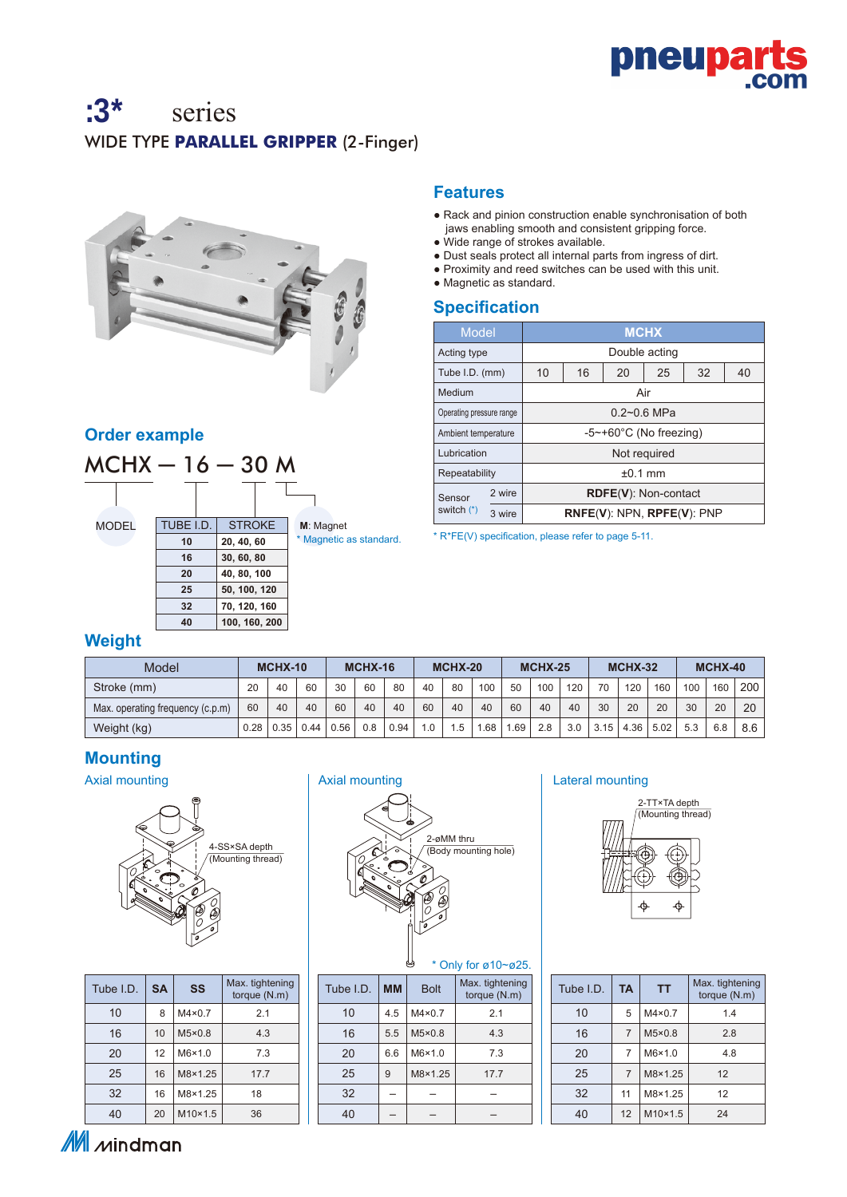

# :3\* series WIDE TYPE **PARALLEL GRIPPER** (2-Finger)



### **Order example**



### **Features**

- Rack and pinion construction enable synchronisation of both jaws enabling smooth and consistent gripping force.
- Wide range of strokes available.
- Dust seals protect all internal parts from ingress of dirt.
- Proximity and reed switches can be used with this unit.
- Magnetic as standard.

### **Specification**

| Model                    |    | <b>MCHX</b>                          |                                |               |    |    |  |  |  |  |  |
|--------------------------|----|--------------------------------------|--------------------------------|---------------|----|----|--|--|--|--|--|
| Acting type              |    |                                      |                                | Double acting |    |    |  |  |  |  |  |
| Tube I.D. (mm)           | 10 | 16                                   | 20                             | 25            | 32 | 40 |  |  |  |  |  |
| Medium                   |    |                                      | Air                            |               |    |    |  |  |  |  |  |
| Operating pressure range |    | $0.2 - 0.6$ MPa                      |                                |               |    |    |  |  |  |  |  |
| Ambient temperature      |    | $-5$ ~+60 $^{\circ}$ C (No freezing) |                                |               |    |    |  |  |  |  |  |
| Lubrication              |    | Not required                         |                                |               |    |    |  |  |  |  |  |
| Repeatability            |    | $±0.1$ mm                            |                                |               |    |    |  |  |  |  |  |
| 2 wire<br>Sensor         |    |                                      | RDFE(V): Non-contact           |               |    |    |  |  |  |  |  |
| switch (*)<br>3 wire     |    |                                      | $RNE(V)$ : NPN, $RPE(V)$ : PNP |               |    |    |  |  |  |  |  |

\* R\*FE(V) specification, please refer to page 5-11.

### **Weight**

| Model                            | MCHX-10 |          |      | <b>MCHX-16</b> |     |      | MCHX-20  |                            |     | <b>MCHX-25</b> |     |     |      | <b>MCHX-32</b> |      | MCHX-40 |     |     |
|----------------------------------|---------|----------|------|----------------|-----|------|----------|----------------------------|-----|----------------|-----|-----|------|----------------|------|---------|-----|-----|
| Stroke (mm)                      | 20      | 60<br>40 |      | 30             | 60  | 80   | 40       | 80                         | 100 | 50             | 100 | 120 | 70   | 120            | 160  | 100     | 160 | 200 |
| Max. operating frequency (c.p.m) | 60      | 40       | 40   | 60             | 40  | 40   | 60       | 40                         | 40  | 60             | 40  | 40  | 30   | 20             | 20   | 30      | 20  | 20  |
| Weight (kg)                      | 0.28    | 0.35     | 0.44 | 0.56           | 0.8 | 0.94 | $\Omega$ | .5<br>$\blacktriangleleft$ | .68 | .69            | 2.8 | 3.0 | 3.15 | 4.36           | 5.02 | 5.3     | 6.8 | 8.6 |

### **Mounting**



| Tube I.D. | <b>SA</b> | SS              | Max. tightening<br>torque (N.m) |
|-----------|-----------|-----------------|---------------------------------|
| 10        | 8         | $M4 \times 0.7$ | 2.1                             |
| 16        | 10        | $M5\times0.8$   | 4.3                             |
| 20        | 12        | $M6\times1.0$   | 7.3                             |
| 25        | 16        | M8×1.25         | 17.7                            |
| 32        | 16        | M8×1.25         | 18                              |
| 40        | 20        | $M10\times1.5$  | 36                              |



| <b>MM</b> | <b>Bolt</b>   | Max. tightening<br>torque (N.m) |
|-----------|---------------|---------------------------------|
| 4.5       | $M4\times0.7$ | 2.1                             |
| 5.5       | $M5\times0.8$ | 4.3                             |
| 6.6       | $M6\times1.0$ | 7.3                             |
| 9         | M8×1.25       | 17.7                            |
|           |               |                                 |
|           |               |                                 |
|           |               |                                 |



| Tube I.D. | TA             | ΤT            | Max. tightening<br>torque (N.m) |
|-----------|----------------|---------------|---------------------------------|
| 10        | 5              | $M4\times0.7$ | 1.4                             |
| 16        | 7              | $M5\times0.8$ | 2.8                             |
| 20        | 7              | $M6\times1.0$ | 4.8                             |
| 25        | $\overline{7}$ | M8×1.25       | 12                              |
| 32        | 11             | M8×1.25       | 12                              |
| 40        | 12             | M10×1.5       | 24                              |

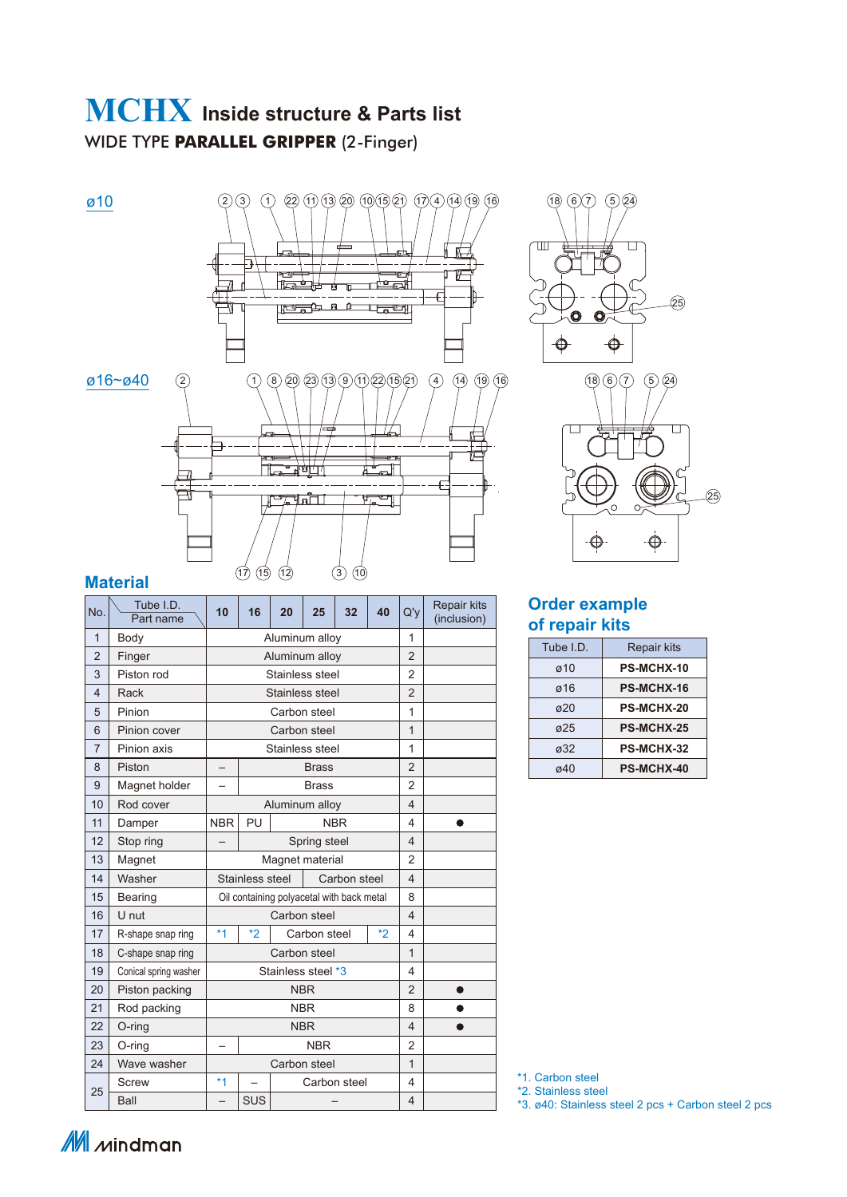# **MCHX Inside structure & Parts list** WIDE TYPE **PARALLEL GRIPPER** (2-Finger)

 $\emptyset$ 10 3 3 1  $\emptyset$   $\emptyset$   $\emptyset$   $\emptyset$   $\emptyset$   $\emptyset$   $\emptyset$   $\emptyset$   $\emptyset$   $\emptyset$   $\emptyset$   $\emptyset$   $\emptyset$   $\emptyset$   $\emptyset$   $\emptyset$   $\emptyset$   $\emptyset$   $\emptyset$   $\emptyset$   $\emptyset$   $\emptyset$   $\emptyset$   $\emptyset$   $\emptyset$   $\emptyset$   $\emptyset$   $\emptyset$   $\emptyset$   $\emptyset$   $\emptyset$   $\emptyset$   $\emptyset$   $\emptyset$   $\empty$  $(2)(3)$  $\overline{\mathbf{N}}$ F **Report** <u>te și</u>  $\overline{\Lambda}$ -4 ▁▁▁▁▁▁▁▁▁▁▁▁▁▁▁▁<br>▏▕▛▟<del>▏▖</del>▝▃▁▝▁▁▁▁ ø16~ø40 2 1 (1) (8) (20) (23) (13) (9) (11) (22) (15) (21) (4) (14) (19) (16) (16) (18) (6) (7) (5) (24  $\overline{+}$  $\frac{1}{\hbar}$  $\mathbb{R}$ —े वस्ति ᇺ  $\overline{F}$ **Patril**  $\frac{1}{2}$ ≞  $(1)$   $(1)$   $(1)$   $(2)$   $(3)$   $(1)$ 



|                | Malerial               |              |                 |    |                                           |              |      |                |                                   |
|----------------|------------------------|--------------|-----------------|----|-------------------------------------------|--------------|------|----------------|-----------------------------------|
| No.            | Tube I.D.<br>Part name | 10           | 16              | 20 | 25                                        | 32           | 40   | Q'y            | <b>Repair kits</b><br>(inclusion) |
| $\mathbf{1}$   | Body                   |              | Aluminum alloy  | 1  |                                           |              |      |                |                                   |
| $\overline{2}$ | Finger                 |              |                 |    | Aluminum alloy                            |              |      | $\overline{2}$ |                                   |
| 3              | Piston rod             |              |                 |    | Stainless steel                           |              |      | $\overline{2}$ |                                   |
| $\overline{4}$ | Rack                   |              |                 |    | Stainless steel                           |              |      | $\overline{2}$ |                                   |
| 5              | Pinion                 |              |                 |    | Carbon steel                              |              |      | $\overline{1}$ |                                   |
| 6              | Pinion cover           |              |                 |    | Carbon steel                              |              |      | $\mathbf{1}$   |                                   |
| 7              | Pinion axis            |              |                 |    | Stainless steel                           |              |      | 1              |                                   |
| 8              | Piston                 |              |                 |    | <b>Brass</b>                              |              |      | $\overline{2}$ |                                   |
| 9              | Magnet holder          |              |                 |    | <b>Brass</b>                              |              |      | $\overline{2}$ |                                   |
| 10             | Rod cover              |              |                 |    | Aluminum alloy                            |              |      | 4              |                                   |
| 11             | Damper                 | <b>NBR</b>   | PU              |    | <b>NBR</b>                                |              |      | 4              |                                   |
| 12             | Stop ring              |              |                 |    | Spring steel                              |              |      | 4              |                                   |
| 13             | Magnet                 |              |                 |    | Magnet material                           |              |      | $\overline{2}$ |                                   |
| 14             | Washer                 |              | Stainless steel |    |                                           | Carbon steel |      | 4              |                                   |
| 15             | Bearing                |              |                 |    | Oil containing polyacetal with back metal |              |      | 8              |                                   |
| 16             | U nut                  |              |                 |    | Carbon steel                              |              |      | 4              |                                   |
| 17             | R-shape snap ring      | $*1$         | $*2$            |    | Carbon steel                              |              | $*2$ | 4              |                                   |
| 18             | C-shape snap ring      |              |                 |    | Carbon steel                              |              |      | 1              |                                   |
| 19             | Conical spring washer  |              |                 |    | Stainless steel *3                        |              |      | 4              |                                   |
| 20             | Piston packing         |              |                 |    | <b>NBR</b>                                |              |      | 2              |                                   |
| 21             | Rod packing            |              |                 | 8  | ●                                         |              |      |                |                                   |
| 22             | $O$ -ring              |              |                 | 4  |                                           |              |      |                |                                   |
| 23             | O-ring                 | <b>NBR</b>   |                 |    |                                           |              |      |                |                                   |
| 24             | Wave washer            | Carbon steel |                 |    |                                           |              |      |                |                                   |
|                | <b>Screw</b>           | $*1$         |                 |    | Carbon steel                              |              |      | 4              |                                   |
| 25             | Ball                   |              | SUS             |    |                                           |              |      | 4              |                                   |





#### **Order example of repair kits**

| Tube I.D.   | <b>Repair kits</b> |
|-------------|--------------------|
| $\alpha$ 10 | <b>PS-MCHX-10</b>  |
| ø16         | <b>PS-MCHX-16</b>  |
| $\sigma$ 20 | <b>PS-MCHX-20</b>  |
| ø25         | <b>PS-MCHX-25</b>  |
| ø32         | <b>PS-MCHX-32</b>  |
| ø40         | <b>PS-MCHX-40</b>  |

\*1. Carbon steel

\*2. Stainless steel

\*3. ø40: Stainless steel 2 pcs + Carbon steel 2 pcs

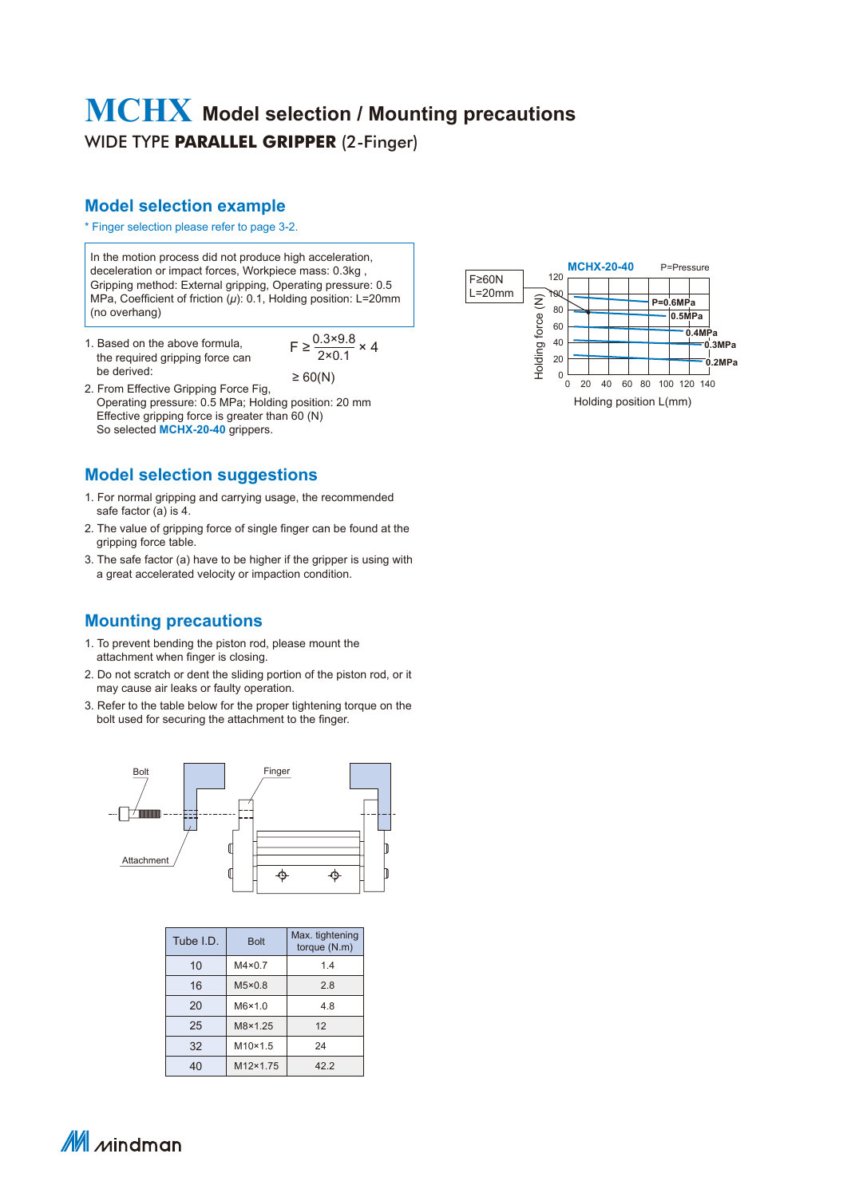## WIDE TYPE **PARALLEL GRIPPER** (2-Finger) **MCHX Model selection / Mounting precautions**

### **Model selection example**

#### \* Finger selection please refer to page 3-2.

In the motion process did not produce high acceleration, deceleration or impact forces, Workpiece mass: 0.3kg , Gripping method: External gripping, Operating pressure: 0.5 MPa, Coefficient of friction (*μ*): 0.1, Holding position: L=20mm (no overhang)

1. Based on the above formula, the required gripping force can be derived:

 $F \geq \frac{0.3 \times 9.8}{2 \times 0.1} \times 4$  $\geq 60(N)$ 

2. From Effective Gripping Force Fig, Operating pressure: 0.5 MPa; Holding position: 20 mm Effective gripping force is greater than 60 (N) So selected **MCHX-20-40** grippers.

#### **Model selection suggestions**

- 1. For normal gripping and carrying usage, the recommended safe factor (a) is 4.
- 2. The value of gripping force of single finger can be found at the gripping force table.
- 3. The safe factor (a) have to be higher if the gripper is using with a great accelerated velocity or impaction condition.

#### **Mounting precautions**

- 1. To prevent bending the piston rod, please mount the attachment when finger is closing.
- 2. Do not scratch or dent the sliding portion of the piston rod, or it may cause air leaks or faulty operation.
- 3. Refer to the table below for the proper tightening torque on the bolt used for securing the attachment to the finger.



| Tube I.D. | <b>Bolt</b>     | Max. tightening<br>torque (N.m) |
|-----------|-----------------|---------------------------------|
| 10        | $M4 \times 0.7$ | 1.4                             |
| 16        | $M5\times0.8$   | 2.8                             |
| 20        | $M6\times1.0$   | 4.8                             |
| 25        | M8×1.25         | 12                              |
| 32        | $M10\times1.5$  | 24                              |
| 40        | M12×1.75        | 42.2                            |



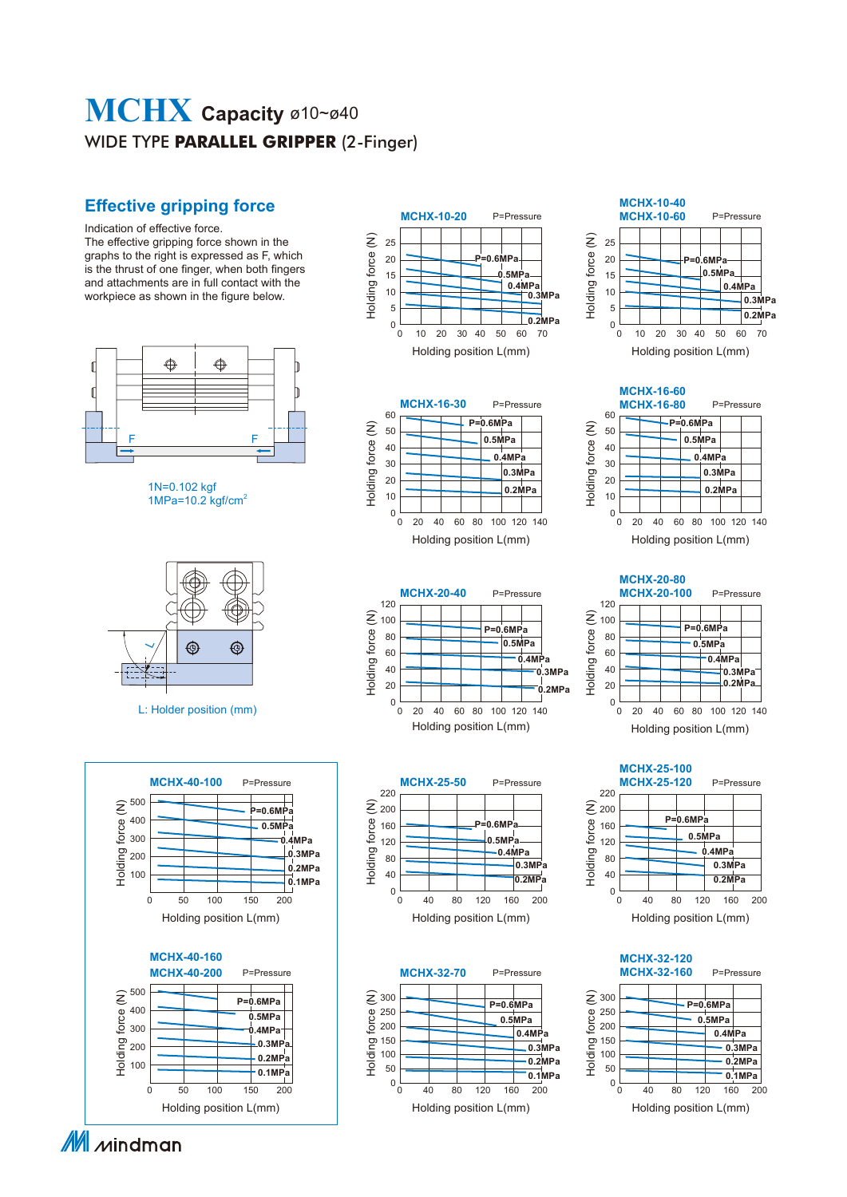# WIDE TYPE **PARALLEL GRIPPER** (2-Finger) **MCHX Capacity** ø10~ø40

### **Effective gripping force**

Indication of effective force. The effective gripping force shown in the graphs to the right is expressed as F, which is the thrust of one finger, when both fingers and attachments are in full contact with the workpiece as shown in the figure below.



1N=0.102 kgf 1MPa=10.2  $kgf/cm<sup>2</sup>$ 



L: Holder position (mm)























Holding position L(mm)